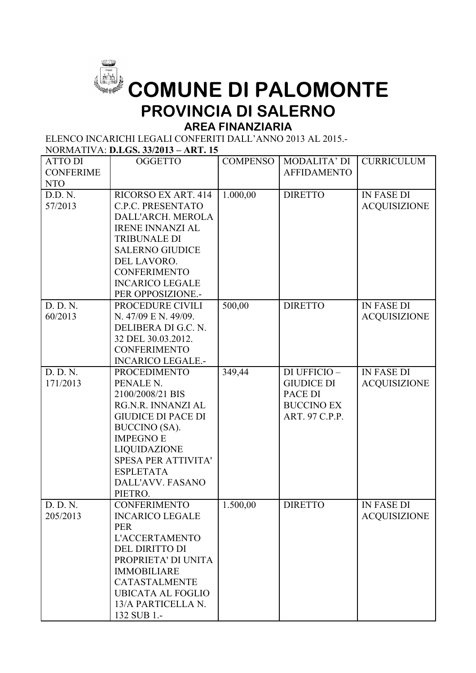

## **COMUNE DI PALOMONTE PROVINCIA DI SALERNO**

## **AREA FINANZIARIA**

ELENCO INCARICHI LEGALI CONFERITI DALL'ANNO 2013 AL 2015.- NORMATIVA: **D.LGS. 33/2013 – ART. 15**

|                                | 1901 - 1910 - 1911 1912 1914 1914 1915 1916 1916 |                 |                                     |                     |
|--------------------------------|--------------------------------------------------|-----------------|-------------------------------------|---------------------|
| <b>ATTO DI</b>                 | <b>OGGETTO</b>                                   | <b>COMPENSO</b> | MODALITA' DI                        | <b>CURRICULUM</b>   |
| <b>CONFERIME</b><br><b>NTO</b> |                                                  |                 | <b>AFFIDAMENTO</b>                  |                     |
| D.D.N.                         | RICORSO EX ART. 414                              | 1.000,00        | <b>DIRETTO</b>                      | <b>IN FASE DI</b>   |
| 57/2013                        | <b>C.P.C. PRESENTATO</b>                         |                 |                                     | <b>ACQUISIZIONE</b> |
|                                | DALL'ARCH. MEROLA                                |                 |                                     |                     |
|                                | <b>IRENE INNANZI AL</b>                          |                 |                                     |                     |
|                                | <b>TRIBUNALE DI</b>                              |                 |                                     |                     |
|                                | <b>SALERNO GIUDICE</b>                           |                 |                                     |                     |
|                                | DEL LAVORO.                                      |                 |                                     |                     |
|                                | <b>CONFERIMENTO</b>                              |                 |                                     |                     |
|                                | <b>INCARICO LEGALE</b>                           |                 |                                     |                     |
|                                | PER OPPOSIZIONE.-                                |                 |                                     |                     |
| D. D. N.                       | PROCEDURE CIVILI                                 | 500,00          | <b>DIRETTO</b>                      | <b>IN FASE DI</b>   |
| 60/2013                        | N. 47/09 E N. 49/09.                             |                 |                                     | <b>ACQUISIZIONE</b> |
|                                | DELIBERA DI G.C. N.                              |                 |                                     |                     |
|                                | 32 DEL 30.03.2012.                               |                 |                                     |                     |
|                                | <b>CONFERIMENTO</b>                              |                 |                                     |                     |
|                                | <b>INCARICO LEGALE.-</b>                         |                 |                                     |                     |
| D. D. N.                       | <b>PROCEDIMENTO</b>                              | 349,44          | DI UFFICIO-                         | <b>IN FASE DI</b>   |
| 171/2013                       | PENALE N.                                        |                 | <b>GIUDICE DI</b>                   | <b>ACQUISIZIONE</b> |
|                                | 2100/2008/21 BIS                                 |                 | PACE DI                             |                     |
|                                | RG.N.R. INNANZI AL<br><b>GIUDICE DI PACE DI</b>  |                 | <b>BUCCINO EX</b><br>ART. 97 C.P.P. |                     |
|                                | <b>BUCCINO</b> (SA).                             |                 |                                     |                     |
|                                | <b>IMPEGNO E</b>                                 |                 |                                     |                     |
|                                | LIQUIDAZIONE                                     |                 |                                     |                     |
|                                | <b>SPESA PER ATTIVITA'</b>                       |                 |                                     |                     |
|                                | <b>ESPLETATA</b>                                 |                 |                                     |                     |
|                                | DALL'AVV. FASANO                                 |                 |                                     |                     |
|                                | PIETRO.                                          |                 |                                     |                     |
| D. D. N.                       | <b>CONFERIMENTO</b>                              | 1.500,00        | <b>DIRETTO</b>                      | <b>IN FASE DI</b>   |
| 205/2013                       | <b>INCARICO LEGALE</b>                           |                 |                                     | <b>ACQUISIZIONE</b> |
|                                | <b>PER</b>                                       |                 |                                     |                     |
|                                | <b>L'ACCERTAMENTO</b>                            |                 |                                     |                     |
|                                | DEL DIRITTO DI                                   |                 |                                     |                     |
|                                | PROPRIETA' DI UNITA                              |                 |                                     |                     |
|                                | <b>IMMOBILIARE</b>                               |                 |                                     |                     |
|                                | <b>CATASTALMENTE</b>                             |                 |                                     |                     |
|                                | <b>UBICATA AL FOGLIO</b>                         |                 |                                     |                     |
|                                | 13/A PARTICELLA N.                               |                 |                                     |                     |
|                                | 132 SUB 1 .-                                     |                 |                                     |                     |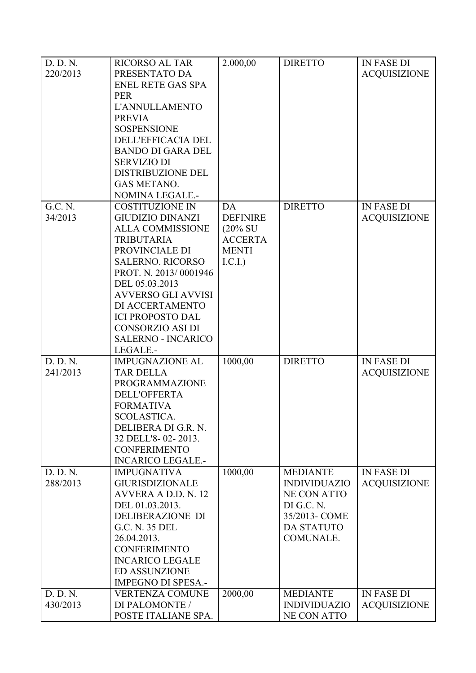| D. D. N. | <b>RICORSO AL TAR</b>     | 2.000,00            | <b>DIRETTO</b>      | <b>IN FASE DI</b>   |
|----------|---------------------------|---------------------|---------------------|---------------------|
| 220/2013 | PRESENTATO DA             |                     |                     | <b>ACQUISIZIONE</b> |
|          | <b>ENEL RETE GAS SPA</b>  |                     |                     |                     |
|          | <b>PER</b>                |                     |                     |                     |
|          | <b>L'ANNULLAMENTO</b>     |                     |                     |                     |
|          | <b>PREVIA</b>             |                     |                     |                     |
|          | <b>SOSPENSIONE</b>        |                     |                     |                     |
|          | DELL'EFFICACIA DEL        |                     |                     |                     |
|          | <b>BANDO DI GARA DEL</b>  |                     |                     |                     |
|          | <b>SERVIZIO DI</b>        |                     |                     |                     |
|          | DISTRIBUZIONE DEL         |                     |                     |                     |
|          | <b>GAS METANO.</b>        |                     |                     |                     |
|          | NOMINA LEGALE.-           |                     |                     |                     |
| G.C. N.  | <b>COSTITUZIONE IN</b>    | DA                  | <b>DIRETTO</b>      | <b>IN FASE DI</b>   |
| 34/2013  | <b>GIUDIZIO DINANZI</b>   | <b>DEFINIRE</b>     |                     | <b>ACQUISIZIONE</b> |
|          | <b>ALLA COMMISSIONE</b>   | $(20\% \text{ SU})$ |                     |                     |
|          | <b>TRIBUTARIA</b>         | <b>ACCERTA</b>      |                     |                     |
|          | PROVINCIALE DI            | <b>MENTI</b>        |                     |                     |
|          | <b>SALERNO. RICORSO</b>   | I.C.I.              |                     |                     |
|          | PROT. N. 2013/0001946     |                     |                     |                     |
|          | DEL 05.03.2013            |                     |                     |                     |
|          | <b>AVVERSO GLI AVVISI</b> |                     |                     |                     |
|          | DI ACCERTAMENTO           |                     |                     |                     |
|          | <b>ICI PROPOSTO DAL</b>   |                     |                     |                     |
|          | <b>CONSORZIO ASI DI</b>   |                     |                     |                     |
|          | <b>SALERNO - INCARICO</b> |                     |                     |                     |
|          | LEGALE.-                  |                     |                     |                     |
| D. D. N. | <b>IMPUGNAZIONE AL</b>    | 1000,00             | <b>DIRETTO</b>      | <b>IN FASE DI</b>   |
| 241/2013 | <b>TAR DELLA</b>          |                     |                     | <b>ACQUISIZIONE</b> |
|          | <b>PROGRAMMAZIONE</b>     |                     |                     |                     |
|          | <b>DELL'OFFERTA</b>       |                     |                     |                     |
|          | <b>FORMATIVA</b>          |                     |                     |                     |
|          | SCOLASTICA.               |                     |                     |                     |
|          | DELIBERA DI G.R. N.       |                     |                     |                     |
|          | 32 DELL'8-02-2013.        |                     |                     |                     |
|          | <b>CONFERIMENTO</b>       |                     |                     |                     |
|          | <b>INCARICO LEGALE.-</b>  |                     |                     |                     |
| D. D. N. | <b>IMPUGNATIVA</b>        | 1000,00             | <b>MEDIANTE</b>     | <b>IN FASE DI</b>   |
| 288/2013 | <b>GIURISDIZIONALE</b>    |                     | <b>INDIVIDUAZIO</b> | <b>ACQUISIZIONE</b> |
|          | AVVERA A D.D. N. 12       |                     | NE CON ATTO         |                     |
|          | DEL 01.03.2013.           |                     | DI G.C. N.          |                     |
|          | DELIBERAZIONE DI          |                     | 35/2013- COME       |                     |
|          | G.C. N. 35 DEL            |                     | <b>DA STATUTO</b>   |                     |
|          | 26.04.2013.               |                     | COMUNALE.           |                     |
|          | <b>CONFERIMENTO</b>       |                     |                     |                     |
|          | <b>INCARICO LEGALE</b>    |                     |                     |                     |
|          | <b>ED ASSUNZIONE</b>      |                     |                     |                     |
|          | <b>IMPEGNO DI SPESA.-</b> |                     |                     |                     |
| D. D. N. | <b>VERTENZA COMUNE</b>    | 2000,00             | <b>MEDIANTE</b>     | <b>IN FASE DI</b>   |
| 430/2013 | DI PALOMONTE /            |                     | <b>INDIVIDUAZIO</b> | <b>ACQUISIZIONE</b> |
|          | POSTE ITALIANE SPA.       |                     | <b>NE CON ATTO</b>  |                     |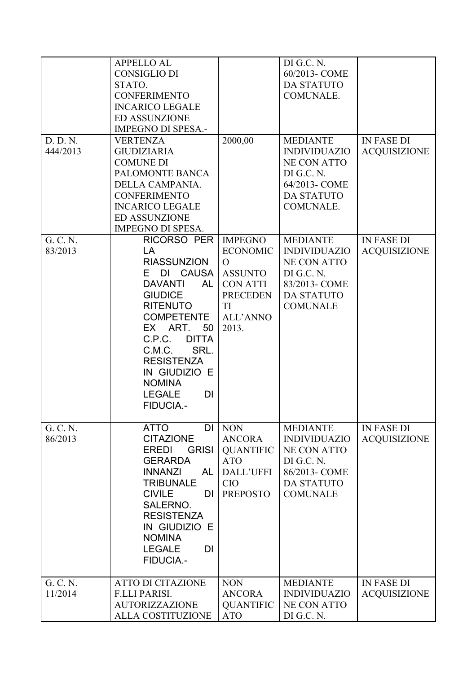|          | <b>APPELLO AL</b>                   |                  | DI G.C. N.          |                     |
|----------|-------------------------------------|------------------|---------------------|---------------------|
|          | <b>CONSIGLIO DI</b>                 |                  | 60/2013- COME       |                     |
|          | STATO.                              |                  | <b>DA STATUTO</b>   |                     |
|          | <b>CONFERIMENTO</b>                 |                  | COMUNALE.           |                     |
|          | <b>INCARICO LEGALE</b>              |                  |                     |                     |
|          | <b>ED ASSUNZIONE</b>                |                  |                     |                     |
|          | <b>IMPEGNO DI SPESA.-</b>           |                  |                     |                     |
| D. D. N. | <b>VERTENZA</b>                     | 2000,00          | <b>MEDIANTE</b>     | <b>IN FASE DI</b>   |
| 444/2013 | <b>GIUDIZIARIA</b>                  |                  | <b>INDIVIDUAZIO</b> |                     |
|          |                                     |                  |                     | <b>ACQUISIZIONE</b> |
|          | <b>COMUNE DI</b><br>PALOMONTE BANCA |                  | <b>NE CON ATTO</b>  |                     |
|          |                                     |                  | DI G.C. N.          |                     |
|          | DELLA CAMPANIA.                     |                  | 64/2013- COME       |                     |
|          | <b>CONFERIMENTO</b>                 |                  | <b>DA STATUTO</b>   |                     |
|          | <b>INCARICO LEGALE</b>              |                  | COMUNALE.           |                     |
|          | <b>ED ASSUNZIONE</b>                |                  |                     |                     |
|          | IMPEGNO DI SPESA.                   |                  |                     |                     |
| G. C. N. | <b>RICORSO PER</b>                  | <b>IMPEGNO</b>   | <b>MEDIANTE</b>     | <b>IN FASE DI</b>   |
| 83/2013  | LA                                  | <b>ECONOMIC</b>  | <b>INDIVIDUAZIO</b> | <b>ACQUISIZIONE</b> |
|          | <b>RIASSUNZION</b>                  | $\Omega$         | <b>NE CON ATTO</b>  |                     |
|          | DI CAUSA<br>E.                      | <b>ASSUNTO</b>   | DI G.C. N.          |                     |
|          | DAVANTI<br>AL                       | <b>CON ATTI</b>  | 83/2013-COME        |                     |
|          | <b>GIUDICE</b>                      | <b>PRECEDEN</b>  | <b>DA STATUTO</b>   |                     |
|          | <b>RITENUTO</b>                     | TI               | <b>COMUNALE</b>     |                     |
|          | <b>COMPETENTE</b>                   | <b>ALL'ANNO</b>  |                     |                     |
|          | EX ART.<br>50                       | 2013.            |                     |                     |
|          | C.P.C.<br><b>DITTA</b>              |                  |                     |                     |
|          | SRL.<br>C.M.C.                      |                  |                     |                     |
|          | <b>RESISTENZA</b>                   |                  |                     |                     |
|          | IN GIUDIZIO E                       |                  |                     |                     |
|          | <b>NOMINA</b>                       |                  |                     |                     |
|          | <b>LEGALE</b><br>DI                 |                  |                     |                     |
|          | <b>FIDUCIA-</b>                     |                  |                     |                     |
|          |                                     |                  |                     |                     |
| G. C. N. | <b>ATTO</b><br>DI                   | <b>NON</b>       | <b>MEDIANTE</b>     | <b>IN FASE DI</b>   |
| 86/2013  | <b>CITAZIONE</b>                    | <b>ANCORA</b>    | <b>INDIVIDUAZIO</b> | <b>ACQUISIZIONE</b> |
|          | <b>GRISI</b><br>EREDI               | <b>QUANTIFIC</b> | <b>NE CON ATTO</b>  |                     |
|          | <b>GERARDA</b>                      | <b>ATO</b>       | DI G.C. N.          |                     |
|          | <b>INNANZI</b><br><b>AL</b>         | DALL'UFFI        | 86/2013- COME       |                     |
|          | <b>TRIBUNALE</b>                    | <b>CIO</b>       | <b>DA STATUTO</b>   |                     |
|          | <b>CIVILE</b><br>DI.                | <b>PREPOSTO</b>  | <b>COMUNALE</b>     |                     |
|          | SALERNO.                            |                  |                     |                     |
|          | <b>RESISTENZA</b>                   |                  |                     |                     |
|          | IN GIUDIZIO E                       |                  |                     |                     |
|          | <b>NOMINA</b>                       |                  |                     |                     |
|          | <b>LEGALE</b><br>DI                 |                  |                     |                     |
|          | <b>FIDUCIA-</b>                     |                  |                     |                     |
|          |                                     |                  |                     |                     |
| G. C. N. | <b>ATTO DI CITAZIONE</b>            | <b>NON</b>       | <b>MEDIANTE</b>     | <b>IN FASE DI</b>   |
| 11/2014  | <b>F.LLI PARISI.</b>                | <b>ANCORA</b>    | <b>INDIVIDUAZIO</b> | <b>ACQUISIZIONE</b> |
|          | <b>AUTORIZZAZIONE</b>               | <b>QUANTIFIC</b> | <b>NE CON ATTO</b>  |                     |
|          | ALLA COSTITUZIONE                   | <b>ATO</b>       | DI G.C. N.          |                     |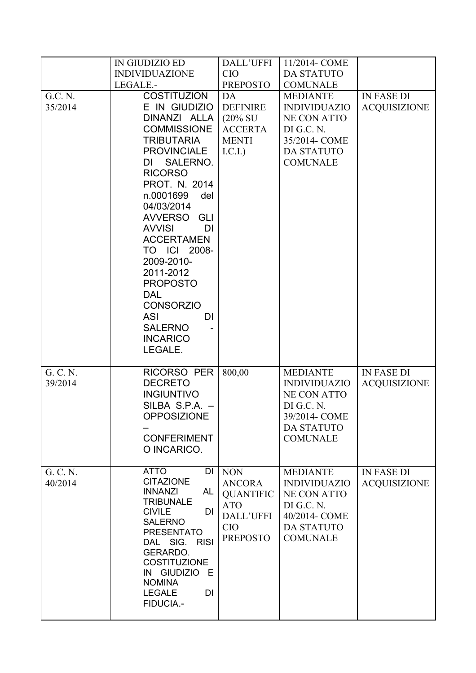|                     | IN GIUDIZIO ED                                                                                                                                                                                                                                                                                                                                                                                                                                              | DALL'UFFI                                                                                                   | 11/2014- COME                                                                                                                       |                                          |
|---------------------|-------------------------------------------------------------------------------------------------------------------------------------------------------------------------------------------------------------------------------------------------------------------------------------------------------------------------------------------------------------------------------------------------------------------------------------------------------------|-------------------------------------------------------------------------------------------------------------|-------------------------------------------------------------------------------------------------------------------------------------|------------------------------------------|
|                     | <b>INDIVIDUAZIONE</b><br>LEGALE.-                                                                                                                                                                                                                                                                                                                                                                                                                           | <b>CIO</b><br><b>PREPOSTO</b>                                                                               | <b>DA STATUTO</b><br><b>COMUNALE</b>                                                                                                |                                          |
|                     |                                                                                                                                                                                                                                                                                                                                                                                                                                                             |                                                                                                             |                                                                                                                                     |                                          |
| G.C. N.<br>35/2014  | <b>COSTITUZION</b><br>E IN GIUDIZIO<br>DINANZI ALLA<br><b>COMMISSIONE</b><br><b>TRIBUTARIA</b><br><b>PROVINCIALE</b><br>SALERNO.<br>DI<br><b>RICORSO</b><br>PROT. N. 2014<br>n.0001699<br>del<br>04/03/2014<br><b>AVVERSO</b><br><b>GLI</b><br><b>AVVISI</b><br>DI<br><b>ACCERTAMEN</b><br>TO ICI 2008-<br>2009-2010-<br>2011-2012<br><b>PROPOSTO</b><br><b>DAL</b><br><b>CONSORZIO</b><br><b>ASI</b><br>DI<br><b>SALERNO</b><br><b>INCARICO</b><br>LEGALE. | DA<br><b>DEFINIRE</b><br>$(20\% \text{ SU})$<br><b>ACCERTA</b><br><b>MENTI</b><br>I.C.I.                    | <b>MEDIANTE</b><br><b>INDIVIDUAZIO</b><br><b>NE CON ATTO</b><br>DI G.C. N.<br>35/2014- COME<br><b>DA STATUTO</b><br><b>COMUNALE</b> | <b>IN FASE DI</b><br><b>ACQUISIZIONE</b> |
| G. C. N.<br>39/2014 | <b>RICORSO PER</b><br><b>DECRETO</b><br><b>INGIUNTIVO</b><br>SILBA S.P.A. -<br><b>OPPOSIZIONE</b><br><b>CONFERIMENT</b><br>O INCARICO.                                                                                                                                                                                                                                                                                                                      | 800,00                                                                                                      | <b>MEDIANTE</b><br><b>INDIVIDUAZIO</b><br><b>NE CON ATTO</b><br>DI G.C. N.<br>39/2014- COME<br><b>DA STATUTO</b><br><b>COMUNALE</b> | <b>IN FASE DI</b><br><b>ACQUISIZIONE</b> |
| G. C. N.<br>40/2014 | <b>ATTO</b><br>DI<br><b>CITAZIONE</b><br><b>INNANZI</b><br><b>AL</b><br><b>TRIBUNALE</b><br><b>CIVILE</b><br>DI<br><b>SALERNO</b><br><b>PRESENTATO</b><br>DAL SIG.<br><b>RISI</b><br>GERARDO.<br><b>COSTITUZIONE</b><br>IN GIUDIZIO E<br><b>NOMINA</b><br><b>LEGALE</b><br>DI<br>FIDUCIA.-                                                                                                                                                                  | <b>NON</b><br><b>ANCORA</b><br><b>QUANTIFIC</b><br><b>ATO</b><br>DALL'UFFI<br><b>CIO</b><br><b>PREPOSTO</b> | <b>MEDIANTE</b><br><b>INDIVIDUAZIO</b><br><b>NE CON ATTO</b><br>DI G.C. N.<br>40/2014- COME<br><b>DA STATUTO</b><br><b>COMUNALE</b> | <b>IN FASE DI</b><br><b>ACQUISIZIONE</b> |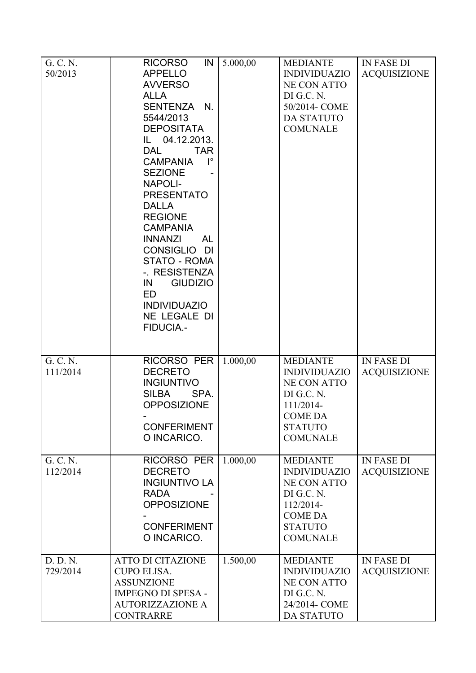| G. C. N.<br>50/2013  | IN<br><b>RICORSO</b><br><b>APPELLO</b><br><b>AVVERSO</b><br><b>ALLA</b><br>SENTENZA N.<br>5544/2013<br><b>DEPOSITATA</b><br>IL 04.12.2013.<br><b>DAL</b><br><b>TAR</b><br>$\mathsf{I}^\circ$<br><b>CAMPANIA</b><br><b>SEZIONE</b><br><b>NAPOLI-</b><br><b>PRESENTATO</b><br><b>DALLA</b><br><b>REGIONE</b><br><b>CAMPANIA</b><br><b>INNANZI</b><br><b>AL</b><br>CONSIGLIO DI<br><b>STATO - ROMA</b><br>-. RESISTENZA<br><b>GIUDIZIO</b><br>IN<br>ED<br><b>INDIVIDUAZIO</b><br>NE LEGALE DI<br><b>FIDUCIA.-</b> | 5.000,00 | <b>MEDIANTE</b><br><b>INDIVIDUAZIO</b><br><b>NE CON ATTO</b><br>DI G.C. N.<br>50/2014- COME<br><b>DA STATUTO</b><br><b>COMUNALE</b>            | <b>IN FASE DI</b><br><b>ACQUISIZIONE</b> |
|----------------------|----------------------------------------------------------------------------------------------------------------------------------------------------------------------------------------------------------------------------------------------------------------------------------------------------------------------------------------------------------------------------------------------------------------------------------------------------------------------------------------------------------------|----------|------------------------------------------------------------------------------------------------------------------------------------------------|------------------------------------------|
| G. C. N.<br>111/2014 | <b>RICORSO PER</b><br><b>DECRETO</b><br><b>INGIUNTIVO</b><br>SPA.<br><b>SILBA</b><br><b>OPPOSIZIONE</b><br><b>CONFERIMENT</b><br>O INCARICO.                                                                                                                                                                                                                                                                                                                                                                   | 1.000,00 | <b>MEDIANTE</b><br><b>INDIVIDUAZIO</b><br><b>NE CON ATTO</b><br>DI G.C. N.<br>111/2014-<br><b>COME DA</b><br><b>STATUTO</b><br><b>COMUNALE</b> | <b>IN FASE DI</b><br><b>ACQUISIZIONE</b> |
| G. C. N.<br>112/2014 | RICORSO PER<br><b>DECRETO</b><br><b>INGIUNTIVO LA</b><br><b>RADA</b><br><b>OPPOSIZIONE</b><br><b>CONFERIMENT</b><br>O INCARICO.                                                                                                                                                                                                                                                                                                                                                                                | 1.000,00 | <b>MEDIANTE</b><br><b>INDIVIDUAZIO</b><br><b>NE CON ATTO</b><br>DI G.C. N.<br>112/2014-<br><b>COME DA</b><br><b>STATUTO</b><br><b>COMUNALE</b> | <b>IN FASE DI</b><br><b>ACQUISIZIONE</b> |
| D. D. N.<br>729/2014 | <b>ATTO DI CITAZIONE</b><br><b>CUPO ELISA.</b><br><b>ASSUNZIONE</b><br><b>IMPEGNO DI SPESA -</b><br><b>AUTORIZZAZIONE A</b><br><b>CONTRARRE</b>                                                                                                                                                                                                                                                                                                                                                                | 1.500,00 | <b>MEDIANTE</b><br><b>INDIVIDUAZIO</b><br><b>NE CON ATTO</b><br>DI G.C. N.<br>24/2014- COME<br><b>DA STATUTO</b>                               | <b>IN FASE DI</b><br><b>ACQUISIZIONE</b> |